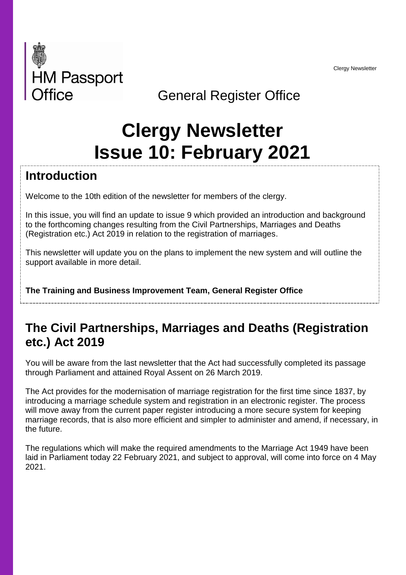Clergy Newsletter



## General Register Office

# **Clergy Newsletter Issue 10: February 2021**

#### **Introduction**

Welcome to the 10th edition of the newsletter for members of the clergy.

In this issue, you will find an update to issue 9 which provided an introduction and background to the forthcoming changes resulting from the Civil Partnerships, Marriages and Deaths (Registration etc.) Act 2019 in relation to the registration of marriages.

This newsletter will update you on the plans to implement the new system and will outline the support available in more detail.

**The Training and Business Improvement Team, General Register Office**

#### **The Civil Partnerships, Marriages and Deaths (Registration etc.) Act 2019**

You will be aware from the last newsletter that the Act had successfully completed its passage through Parliament and attained Royal Assent on 26 March 2019.

The Act provides for the modernisation of marriage registration for the first time since 1837, by introducing a marriage schedule system and registration in an electronic register. The process will move away from the current paper register introducing a more secure system for keeping marriage records, that is also more efficient and simpler to administer and amend, if necessary, in the future.

The regulations which will make the required amendments to the Marriage Act 1949 have been laid in Parliament today 22 February 2021, and subject to approval, will come into force on 4 May 2021.